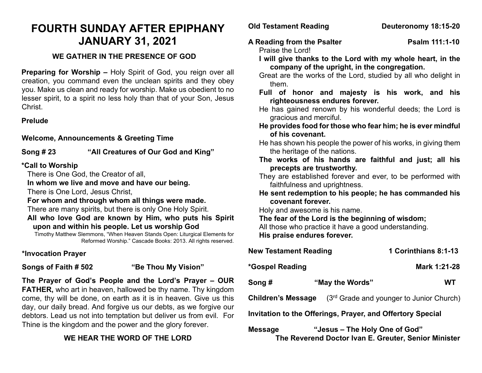# **FOURTH SUNDAY AFTER EPIPHANY JANUARY 31, 2021**

## **WE GATHER IN THE PRESENCE OF GOD**

**Preparing for Worship –** Holy Spirit of God, you reign over all creation, you command even the unclean spirits and they obey you. Make us clean and ready for worship. Make us obedient to no lesser spirit, to a spirit no less holy than that of your Son, Jesus Christ.

## **Prelude**

## **Welcome, Announcements & Greeting Time**

**Song # 23 "All Creatures of Our God and King"**

## **\*Call to Worship**

There is One God, the Creator of all,

**In whom we live and move and have our being.**

There is One Lord, Jesus Christ,

#### **For whom and through whom all things were made.**

There are many spirits, but there is only One Holy Spirit.

**All who love God are known by Him, who puts his Spirit upon and within his people. Let us worship God**

Timothy Matthew Slemmons, "When Heaven Stands Open: Liturgical Elements for Reformed Worship." Cascade Books: 2013. All rights reserved.

## **\*Invocation Prayer**

## **Songs of Faith # 502 "Be Thou My Vision"**

**The Prayer of God's People and the Lord's Prayer – OUR FATHER,** who art in heaven, hallowed be thy name. Thy kingdom come, thy will be done, on earth as it is in heaven. Give us this day, our daily bread. And forgive us our debts, as we forgive our debtors. Lead us not into temptation but deliver us from evil. For Thine is the kingdom and the power and the glory forever.

# **WE HEAR THE WORD OF THE LORD**

## **Old Testament Reading Deuteronomy 18:15-20**

A Reading from the Psalter **Property** Psalm 111:1-10

Praise the Lord!

- **I will give thanks to the Lord with my whole heart, in the company of the upright, in the congregation.**
- Great are the works of the Lord, studied by all who delight in them.
- **Full of honor and majesty is his work, and his righteousness endures forever.**
- He has gained renown by his wonderful deeds; the Lord is gracious and merciful.
- **He provides food for those who fear him; he is ever mindful of his covenant.**
- He has shown his people the power of his works, in giving them the heritage of the nations.
- **The works of his hands are faithful and just; all his precepts are trustworthy.**
- They are established forever and ever, to be performed with faithfulness and uprightness.
- **He sent redemption to his people; he has commanded his covenant forever.**

Holy and awesome is his name.

**The fear of the Lord is the beginning of wisdom;** 

All those who practice it have a good understanding. **His praise endures forever.**

| <b>New Testament Reading</b>                               |                                          | 1 Corinthians 8:1-13 |
|------------------------------------------------------------|------------------------------------------|----------------------|
| *Gospel Reading                                            |                                          | Mark 1:21-28         |
| Song #                                                     | "May the Words"                          | WТ                   |
| <b>Children's Message</b>                                  | (3rd Grade and younger to Junior Church) |                      |
| Invitation to the Offerings, Prayer, and Offertory Special |                                          |                      |
|                                                            |                                          |                      |

**Message "Jesus – The Holy One of God" The Reverend Doctor Ivan E. Greuter, Senior Minister**